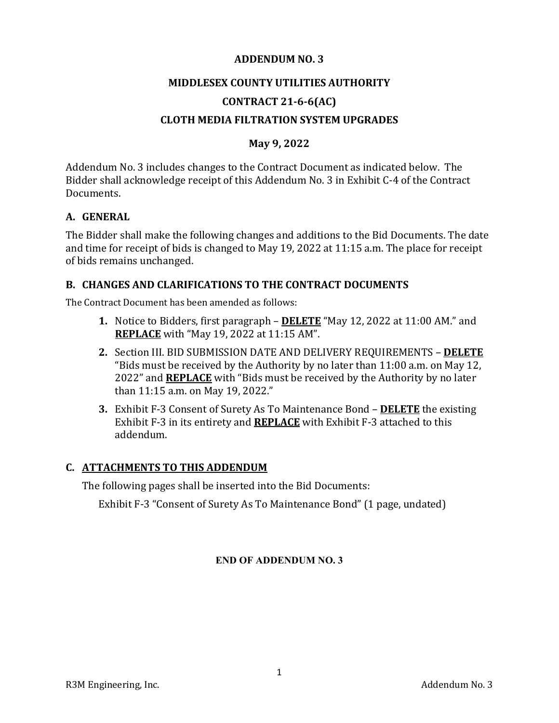#### **ADDENDUM NO. 3**

#### **MIDDLESEX COUNTY UTILITIES AUTHORITY**

## **CONTRACT 21‐6‐6(AC)**

### **CLOTH MEDIA FILTRATION SYSTEM UPGRADES**

### **May 9, 2022**

Addendum No. 3 includes changes to the Contract Document as indicated below. The Bidder shall acknowledge receipt of this Addendum No. 3 in Exhibit C-4 of the Contract Documents.

#### **A. GENERAL**

The Bidder shall make the following changes and additions to the Bid Documents. The date and time for receipt of bids is changed to May 19, 2022 at 11:15 a.m. The place for receipt of bids remains unchanged.

#### **B. CHANGES AND CLARIFICATIONS TO THE CONTRACT DOCUMENTS**

The Contract Document has been amended as follows:

- **1.** Notice to Bidders, first paragraph **DELETE** "May 12, 2022 at 11:00 AM." and **REPLACE** with "May 19, 2022 at 11:15 AM".
- **2.** Section III. BID SUBMISSION DATE AND DELIVERY REQUIREMENTS **DELETE** "Bids must be received by the Authority by no later than 11:00 a.m. on May 12, 2022" and **REPLACE** with "Bids must be received by the Authority by no later than 11:15 a.m. on May 19, 2022."
- **3.** Exhibit F-3 Consent of Surety As To Maintenance Bond **DELETE** the existing Exhibit F-3 in its entirety and **REPLACE** with Exhibit F-3 attached to this addendum.

#### **C. ATTACHMENTS TO THIS ADDENDUM**

The following pages shall be inserted into the Bid Documents:

Exhibit F-3 "Consent of Surety As To Maintenance Bond" (1 page, undated)

#### **END OF ADDENDUM NO. 3**